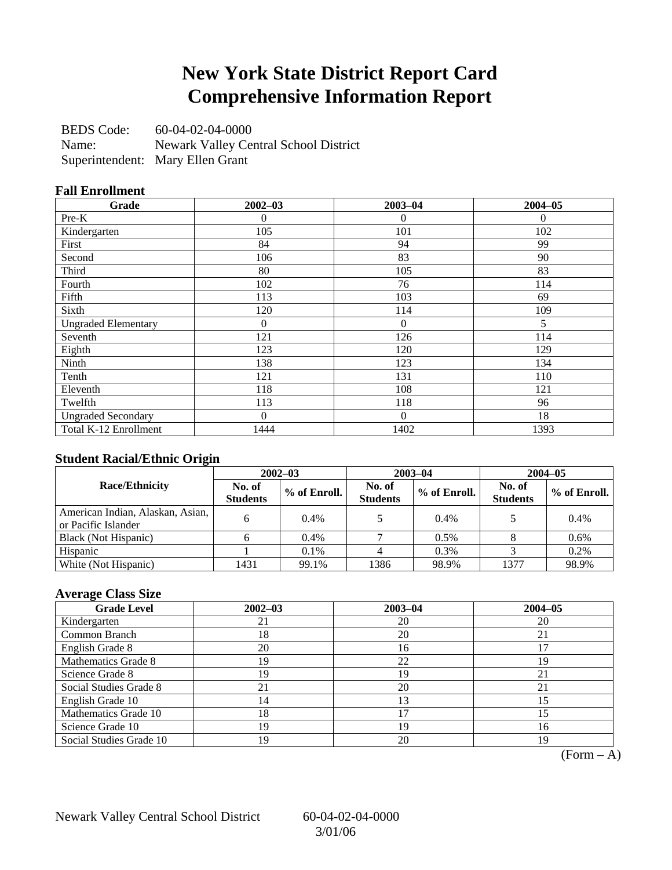## **New York State District Report Card Comprehensive Information Report**

BEDS Code: 60-04-02-04-0000 Name: Newark Valley Central School District Superintendent: Mary Ellen Grant

### **Fall Enrollment**

| Grade                      | $2002 - 03$    | $2003 - 04$      | $2004 - 05$ |
|----------------------------|----------------|------------------|-------------|
| $Pre-K$                    | 0              | 0                | $\Omega$    |
| Kindergarten               | 105            | 101              | 102         |
| First                      | 84             | 94               | 99          |
| Second                     | 106            | 83               | 90          |
| Third                      | 80             | 105              | 83          |
| Fourth                     | 102            | 76               | 114         |
| Fifth                      | 113            | 103              | 69          |
| Sixth                      | 120            | 114              | 109         |
| <b>Ungraded Elementary</b> | $\overline{0}$ | $\boldsymbol{0}$ | 5           |
| Seventh                    | 121            | 126              | 114         |
| Eighth                     | 123            | 120              | 129         |
| Ninth                      | 138            | 123              | 134         |
| Tenth                      | 121            | 131              | 110         |
| Eleventh                   | 118            | 108              | 121         |
| Twelfth                    | 113            | 118              | 96          |
| <b>Ungraded Secondary</b>  | $\Omega$       | $\theta$         | 18          |
| Total K-12 Enrollment      | 1444           | 1402             | 1393        |

### **Student Racial/Ethnic Origin**

|                                                         | $2002 - 03$               |              |                           | $2003 - 04$  | $2004 - 05$               |              |  |
|---------------------------------------------------------|---------------------------|--------------|---------------------------|--------------|---------------------------|--------------|--|
| <b>Race/Ethnicity</b>                                   | No. of<br><b>Students</b> | % of Enroll. | No. of<br><b>Students</b> | % of Enroll. | No. of<br><b>Students</b> | % of Enroll. |  |
| American Indian, Alaskan, Asian,<br>or Pacific Islander | 6                         | 0.4%         |                           | $0.4\%$      |                           | 0.4%         |  |
| Black (Not Hispanic)                                    |                           | $0.4\%$      |                           | $0.5\%$      |                           | 0.6%         |  |
| Hispanic                                                |                           | $0.1\%$      |                           | 0.3%         |                           | 0.2%         |  |
| White (Not Hispanic)                                    | 1431                      | 99.1%        | 1386                      | 98.9%        | 1377                      | 98.9%        |  |

### **Average Class Size**

| <b>Grade Level</b>      | $2002 - 03$ | $2003 - 04$ | $2004 - 05$ |
|-------------------------|-------------|-------------|-------------|
| Kindergarten            | 21          | 20          | 20          |
| Common Branch           | 18          | 20          | 21          |
| English Grade 8         | 20          | 16          |             |
| Mathematics Grade 8     | 19          | 22          | 19          |
| Science Grade 8         | 19          | 19          |             |
| Social Studies Grade 8  |             | 20          |             |
| English Grade 10        | 14          | 13          | 15          |
| Mathematics Grade 10    | 18          | 17          | 15          |
| Science Grade 10        | 19          | 19          | 16          |
| Social Studies Grade 10 | 19          | 20          | 19          |

 $(Form - A)$ 

Newark Valley Central School District 60-04-02-04-0000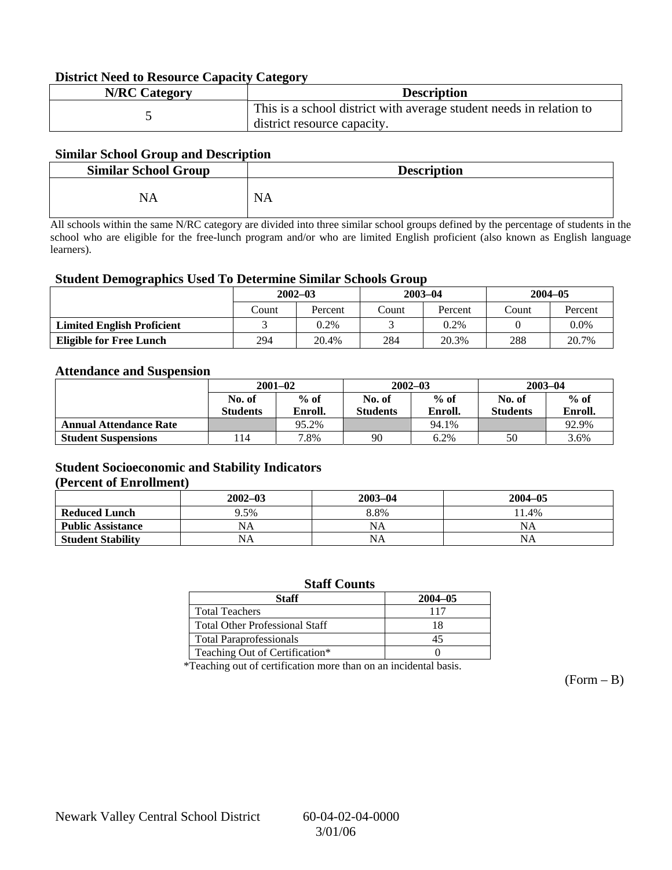### **District Need to Resource Capacity Category**

| <b>N/RC Category</b> | <b>Description</b>                                                                                 |
|----------------------|----------------------------------------------------------------------------------------------------|
|                      | This is a school district with average student needs in relation to<br>district resource capacity. |

### **Similar School Group and Description**

| <b>Similar School Group</b> | <b>Description</b> |
|-----------------------------|--------------------|
| NA                          | <b>NA</b>          |

All schools within the same N/RC category are divided into three similar school groups defined by the percentage of students in the school who are eligible for the free-lunch program and/or who are limited English proficient (also known as English language learners).

#### **Student Demographics Used To Determine Similar Schools Group**

|                                   | $2002 - 03$ |         | $2003 - 04$ |         | $2004 - 05$ |         |
|-----------------------------------|-------------|---------|-------------|---------|-------------|---------|
|                                   | Count       | Percent | Count       | Percent | Count       | Percent |
| <b>Limited English Proficient</b> |             | 0.2%    |             | $0.2\%$ |             | $0.0\%$ |
| <b>Eligible for Free Lunch</b>    | 294         | 20.4%   | 284         | 20.3%   | 288         | 20.7%   |

#### **Attendance and Suspension**

|                               | $2001 - 02$      |         |                  | $2002 - 03$ | $2003 - 04$     |         |
|-------------------------------|------------------|---------|------------------|-------------|-----------------|---------|
|                               | $%$ of<br>No. of |         | $%$ of<br>No. of |             | No. of          | $%$ of  |
|                               | <b>Students</b>  | Enroll. | <b>Students</b>  | Enroll.     | <b>Students</b> | Enroll. |
| <b>Annual Attendance Rate</b> |                  | 95.2%   |                  | 94.1%       |                 | 92.9%   |
| <b>Student Suspensions</b>    | l 14             | 7.8%    | 90               | 6.2%        | 50              | 3.6%    |

### **Student Socioeconomic and Stability Indicators (Percent of Enrollment)**

|                          | $2002 - 03$ | $2003 - 04$ | $2004 - 05$ |
|--------------------------|-------------|-------------|-------------|
| <b>Reduced Lunch</b>     | 9.5%        | 8.8%        | 11.4%       |
| <b>Public Assistance</b> | NA          | NA          | NA          |
| <b>Student Stability</b> | NA          | <b>NA</b>   | NA          |

#### **Staff Counts**

| Staff                                 | $2004 - 05$ |
|---------------------------------------|-------------|
| <b>Total Teachers</b>                 | 117         |
| <b>Total Other Professional Staff</b> |             |
| <b>Total Paraprofessionals</b>        |             |
| Teaching Out of Certification*        |             |

\*Teaching out of certification more than on an incidental basis.

 $(Form - B)$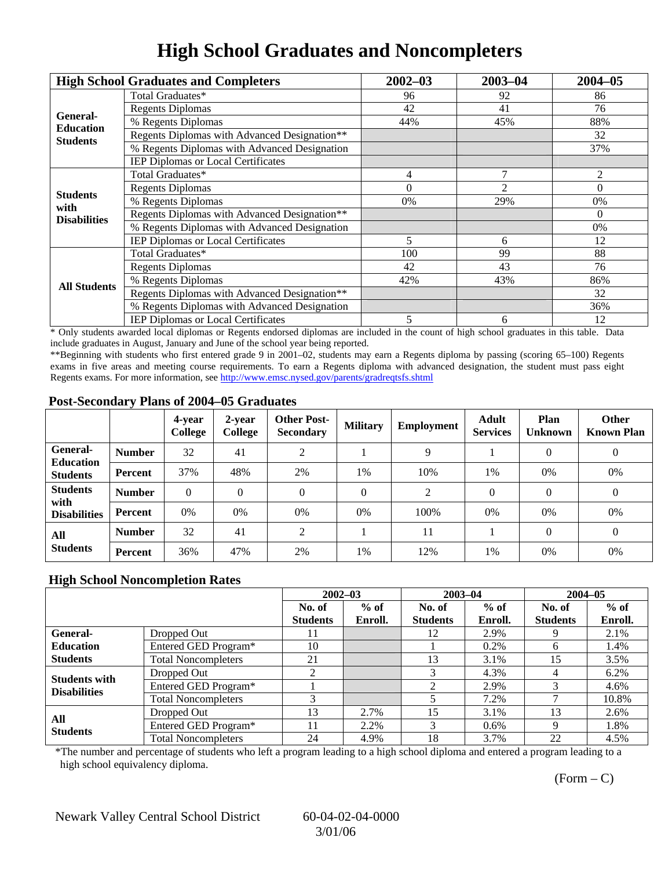## **High School Graduates and Noncompleters**

|                         | <b>High School Graduates and Completers</b>  | $2002 - 03$                                                                     | $2003 - 04$    | $2004 - 05$ |
|-------------------------|----------------------------------------------|---------------------------------------------------------------------------------|----------------|-------------|
|                         | Total Graduates*                             | 96                                                                              | 92             | 86          |
| General-                | <b>Regents Diplomas</b>                      | 42                                                                              | 41             | 76          |
| <b>Education</b>        | % Regents Diplomas                           | 44%                                                                             | 45%            | 88%         |
| <b>Students</b>         | Regents Diplomas with Advanced Designation** |                                                                                 |                | 32          |
|                         | % Regents Diplomas with Advanced Designation |                                                                                 |                | 37%         |
|                         | IEP Diplomas or Local Certificates           |                                                                                 |                |             |
|                         | Total Graduates*                             | 4                                                                               | $\overline{7}$ | 2           |
|                         | <b>Regents Diplomas</b>                      | $\Omega$                                                                        | $\overline{2}$ | $\Omega$    |
| <b>Students</b><br>with | % Regents Diplomas                           | 0%                                                                              | 29%            | 0%          |
| <b>Disabilities</b>     | Regents Diplomas with Advanced Designation** | $\Omega$<br>5<br>12<br>6<br>99<br>100<br>43<br>42<br>42%<br>43%<br>5<br>12<br>6 |                |             |
|                         | % Regents Diplomas with Advanced Designation |                                                                                 | 0%             |             |
|                         | IEP Diplomas or Local Certificates           |                                                                                 |                |             |
|                         | Total Graduates*                             |                                                                                 |                | 88          |
|                         | <b>Regents Diplomas</b>                      |                                                                                 |                | 76          |
| <b>All Students</b>     | % Regents Diplomas                           |                                                                                 |                | 86%         |
|                         | Regents Diplomas with Advanced Designation** |                                                                                 |                | 32          |
|                         | % Regents Diplomas with Advanced Designation |                                                                                 |                | 36%         |
|                         | <b>IEP Diplomas or Local Certificates</b>    |                                                                                 |                |             |

\* Only students awarded local diplomas or Regents endorsed diplomas are included in the count of high school graduates in this table. Data include graduates in August, January and June of the school year being reported.

\*\*Beginning with students who first entered grade 9 in 2001–02, students may earn a Regents diploma by passing (scoring 65–100) Regents exams in five areas and meeting course requirements. To earn a Regents diploma with advanced designation, the student must pass eight Regents exams. For more information, see http://www.emsc.nysed.gov/parents/gradreqtsfs.shtml

### **Post-Secondary Plans of 2004–05 Graduates**

|                                                |                | 4-year<br>College | 2-year<br>College | <b>Other Post-</b><br><b>Secondary</b> | <b>Military</b> | Employment | <b>Adult</b><br><b>Services</b> | Plan<br><b>Unknown</b> | <b>Other</b><br><b>Known Plan</b> |
|------------------------------------------------|----------------|-------------------|-------------------|----------------------------------------|-----------------|------------|---------------------------------|------------------------|-----------------------------------|
| General-<br><b>Education</b>                   | <b>Number</b>  | 32                | 41                | 2                                      |                 | 9          |                                 | $\theta$               | $\boldsymbol{0}$                  |
| <b>Students</b>                                | Percent        | 37%               | 48%               | 2%                                     | 1%              | 10%        | 1%                              | 0%                     | 0%                                |
| <b>Students</b><br>with<br><b>Disabilities</b> | <b>Number</b>  | $\theta$          | $\Omega$          | 0                                      | $\theta$        | 2          | $\Omega$                        | $\Omega$               | $\theta$                          |
|                                                | Percent        | 0%                | 0%                | 0%                                     | $0\%$           | 100%       | $0\%$                           | 0%                     | 0%                                |
| All<br><b>Students</b>                         | <b>Number</b>  | 32                | 41                | $\overline{c}$                         |                 | 11         |                                 | $\Omega$               | $\overline{0}$                    |
|                                                | <b>Percent</b> | 36%               | 47%               | 2%                                     | 1%              | 12%        | 1%                              | 0%                     | 0%                                |

### **High School Noncompletion Rates**

|                                             |                            | $2002 - 03$     |         | $2003 - 04$     |         | $2004 - 05$     |         |
|---------------------------------------------|----------------------------|-----------------|---------|-----------------|---------|-----------------|---------|
|                                             |                            | No. of          | $%$ of  | No. of          | $%$ of  | No. of          | $%$ of  |
|                                             |                            | <b>Students</b> | Enroll. | <b>Students</b> | Enroll. | <b>Students</b> | Enroll. |
| General-                                    | Dropped Out                | 11              |         | 12              | 2.9%    |                 | 2.1%    |
| <b>Education</b>                            | Entered GED Program*       | 10              |         |                 | $0.2\%$ | 6               | 1.4%    |
| <b>Students</b>                             | <b>Total Noncompleters</b> | 21              |         | 13              | 3.1%    | 15              | 3.5%    |
|                                             | Dropped Out                | ◠               |         | 3               | 4.3%    | 4               | 6.2%    |
| <b>Students with</b><br><b>Disabilities</b> | Entered GED Program*       |                 |         | $\bigcap$       | 2.9%    |                 | 4.6%    |
|                                             | <b>Total Noncompleters</b> |                 |         |                 | 7.2%    |                 | 10.8%   |
| All<br><b>Students</b>                      | Dropped Out                | 13              | 2.7%    | 15              | 3.1%    | 13              | 2.6%    |
|                                             | Entered GED Program*       | ا ا             | 2.2%    | 3               | $0.6\%$ | Q               | 1.8%    |
|                                             | <b>Total Noncompleters</b> | 24              | 4.9%    | 18              | 3.7%    | 22              | 4.5%    |

\*The number and percentage of students who left a program leading to a high school diploma and entered a program leading to a high school equivalency diploma.

 $(Form - C)$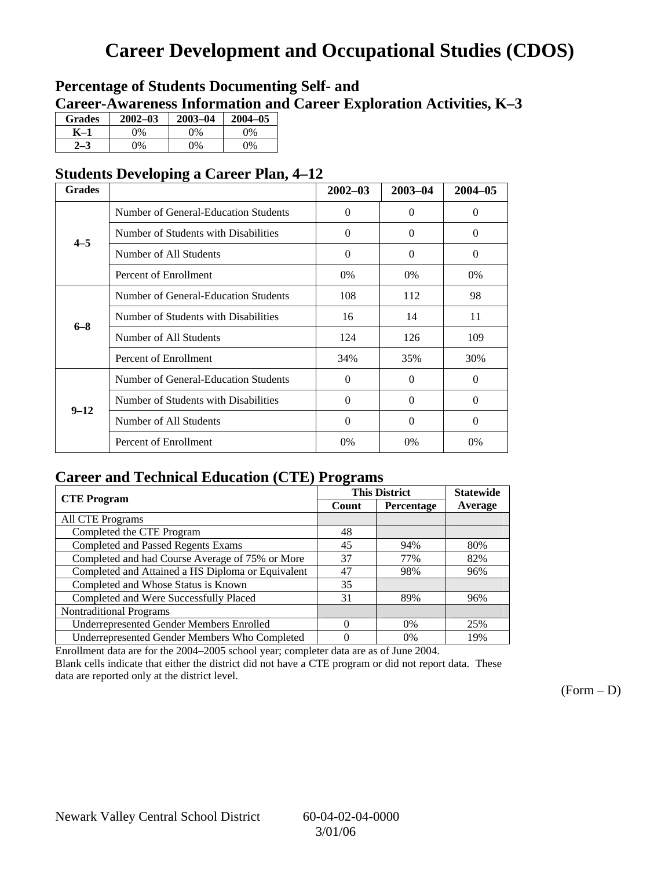# **Career Development and Occupational Studies (CDOS)**

### **Percentage of Students Documenting Self- and Career-Awareness Information and Career Exploration Activities, K–3**

| <b>Grades</b> | $2002 - 03$ | $2003 - 04$ | $2004 - 05$ |
|---------------|-------------|-------------|-------------|
| K–1           | 0%          | $0\%$       | 0%          |
| $2 - 3$       | 9%          | $0\%$       | $0\%$       |

### **Students Developing a Career Plan, 4–12**

| <b>Grades</b> |                                      | $2002 - 03$ | 2003-04  | $2004 - 05$ |
|---------------|--------------------------------------|-------------|----------|-------------|
|               | Number of General-Education Students | $\Omega$    | $\Omega$ | $\Omega$    |
| $4 - 5$       | Number of Students with Disabilities | $\Omega$    | $\Omega$ | $\Omega$    |
|               | Number of All Students               | $\Omega$    | $\Omega$ | $\Omega$    |
|               | Percent of Enrollment                | 0%          | $0\%$    | $0\%$       |
|               | Number of General-Education Students | 108         | 112      | 98          |
| $6 - 8$       | Number of Students with Disabilities | 16          | 14       | 11          |
|               | Number of All Students               | 124         | 126      | 109         |
|               | Percent of Enrollment                | 34%         | 35%      | 30%         |
|               | Number of General-Education Students | $\Omega$    | $\Omega$ | $\Omega$    |
| $9 - 12$      | Number of Students with Disabilities | $\Omega$    | $\Omega$ | $\Omega$    |
|               | Number of All Students               | $\Omega$    | $\Omega$ | $\Omega$    |
|               | Percent of Enrollment                | $0\%$       | $0\%$    | 0%          |

### **Career and Technical Education (CTE) Programs**

| <b>CTE Program</b>                                |          | <b>This District</b> | <b>Statewide</b> |
|---------------------------------------------------|----------|----------------------|------------------|
|                                                   | Count    | Percentage           | Average          |
| <b>All CTE Programs</b>                           |          |                      |                  |
| Completed the CTE Program                         | 48       |                      |                  |
| <b>Completed and Passed Regents Exams</b>         | 45       | 94%                  | 80%              |
| Completed and had Course Average of 75% or More   | 37       | 77%                  | 82%              |
| Completed and Attained a HS Diploma or Equivalent | 47       | 98%                  | 96%              |
| Completed and Whose Status is Known               | 35       |                      |                  |
| Completed and Were Successfully Placed            | 31       | 89%                  | 96%              |
| <b>Nontraditional Programs</b>                    |          |                      |                  |
| <b>Underrepresented Gender Members Enrolled</b>   | $\Omega$ | 0%                   | 25%              |
| Underrepresented Gender Members Who Completed     | 0        | 0%                   | 19%              |

Enrollment data are for the 2004–2005 school year; completer data are as of June 2004.

Blank cells indicate that either the district did not have a CTE program or did not report data. These data are reported only at the district level.

 $(Form - D)$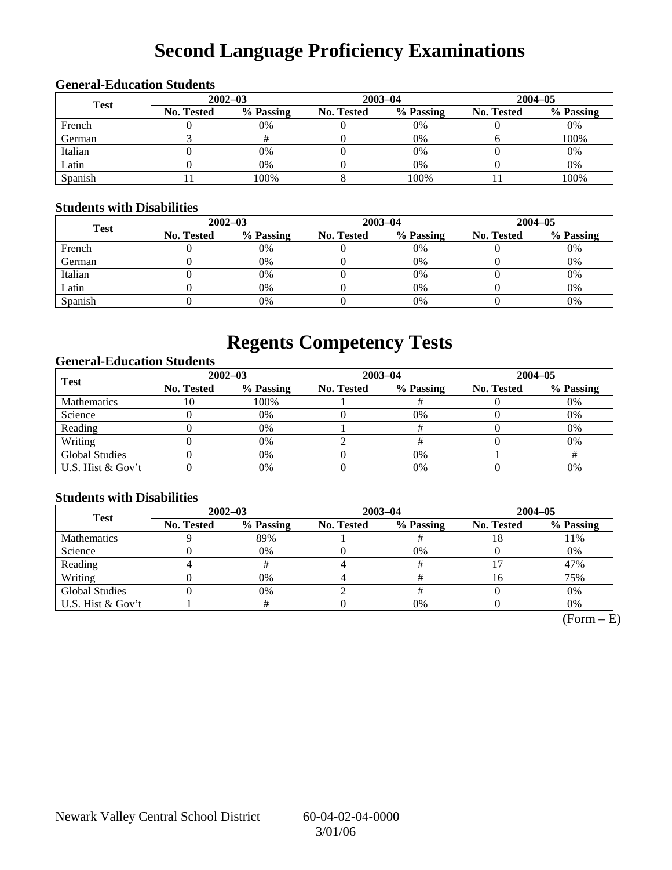# **Second Language Proficiency Examinations**

### **General-Education Students**

| <b>Test</b> | $2002 - 03$ |           |            | $2003 - 04$ | $2004 - 05$       |           |  |
|-------------|-------------|-----------|------------|-------------|-------------------|-----------|--|
|             | No. Tested  | % Passing | No. Tested | % Passing   | <b>No. Tested</b> | % Passing |  |
| French      |             | 0%        |            | $0\%$       |                   | 0%        |  |
| German      |             |           |            | $0\%$       |                   | 100%      |  |
| Italian     |             | 0%        |            | 0%          |                   | 0%        |  |
| Latin       |             | 0%        |            | 0%          |                   | 0%        |  |
| Spanish     |             | 100%      |            | 100%        |                   | 100%      |  |

### **Students with Disabilities**

| <b>Test</b> | $2002 - 03$ |           |            | $2003 - 04$ | $2004 - 05$       |           |  |
|-------------|-------------|-----------|------------|-------------|-------------------|-----------|--|
|             | No. Tested  | % Passing | No. Tested | % Passing   | <b>No. Tested</b> | % Passing |  |
| French      |             | 0%        |            | $0\%$       |                   | 0%        |  |
| German      |             | 0%        |            | $0\%$       |                   | 0%        |  |
| Italian     |             | 0%        |            | $0\%$       |                   | 0%        |  |
| Latin       |             | 0%        |            | $0\%$       |                   | 0%        |  |
| Spanish     |             | 0%        |            | 0%          |                   | 0%        |  |

## **Regents Competency Tests**

### **General-Education Students**

| <b>Test</b>           |                   | $2002 - 03$ |            | $2003 - 04$ | $2004 - 05$ |           |  |
|-----------------------|-------------------|-------------|------------|-------------|-------------|-----------|--|
|                       | <b>No. Tested</b> | % Passing   | No. Tested | % Passing   | No. Tested  | % Passing |  |
| <b>Mathematics</b>    | ΙU                | 100%        |            |             |             | 0%        |  |
| Science               |                   | 0%          |            | 0%          |             | 0%        |  |
| Reading               |                   | 0%          |            |             |             | 0%        |  |
| Writing               |                   | 0%          |            |             |             | 0%        |  |
| <b>Global Studies</b> |                   | 0%          |            | $0\%$       |             |           |  |
| U.S. Hist & Gov't     |                   | 0%          |            | $0\%$       |             | 0%        |  |

### **Students with Disabilities**

| <b>Test</b>           | $2002 - 03$       |           | $2003 - 04$ |           | $2004 - 05$       |           |
|-----------------------|-------------------|-----------|-------------|-----------|-------------------|-----------|
|                       | <b>No. Tested</b> | % Passing | No. Tested  | % Passing | <b>No. Tested</b> | % Passing |
| <b>Mathematics</b>    |                   | 89%       |             |           |                   | 11%       |
| Science               |                   | 0%        |             | 0%        |                   | 0%        |
| Reading               |                   |           |             |           |                   | 47%       |
| Writing               |                   | 0%        |             |           | 16                | 75%       |
| <b>Global Studies</b> |                   | 0%        |             |           |                   | 0%        |
| U.S. Hist & Gov't     |                   |           |             | 0%        |                   | 0%        |

 $(Form - E)$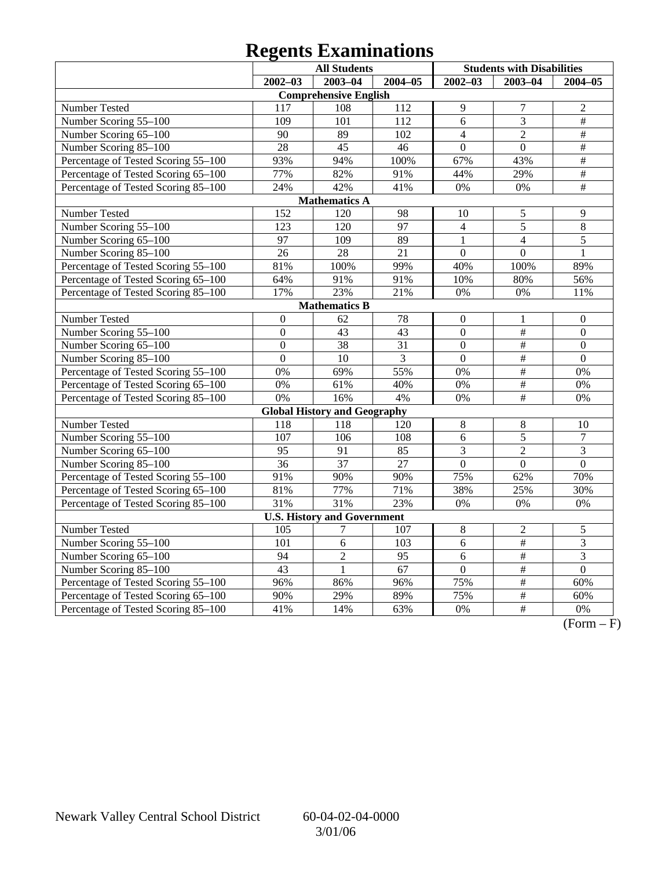# **Regents Examinations**

|                                     | <b>All Students</b> |                                     |                 | <b>Students with Disabilities</b> |                 |                  |
|-------------------------------------|---------------------|-------------------------------------|-----------------|-----------------------------------|-----------------|------------------|
|                                     | $2002 - 03$         | $2003 - 04$                         | $2004 - 05$     | $2002 - 03$                       | 2003-04         | $2004 - 05$      |
|                                     |                     | <b>Comprehensive English</b>        |                 |                                   |                 |                  |
| Number Tested                       | 117                 | 108                                 | 112             | 9                                 | $\overline{7}$  | $\overline{2}$   |
| Number Scoring 55-100               | 109                 | 101                                 | 112             | 6                                 | 3               | $\#$             |
| Number Scoring 65-100               | 90                  | 89                                  | 102             | $\overline{4}$                    | $\overline{2}$  | #                |
| Number Scoring 85-100               | 28                  | 45                                  | 46              | $\overline{0}$                    | $\overline{0}$  | #                |
| Percentage of Tested Scoring 55-100 | 93%                 | 94%                                 | 100%            | 67%                               | 43%             | $\overline{\#}$  |
| Percentage of Tested Scoring 65-100 | 77%                 | 82%                                 | 91%             | 44%                               | 29%             | $\overline{\#}$  |
| Percentage of Tested Scoring 85-100 | 24%                 | 42%                                 | 41%             | 0%                                | 0%              | $\#$             |
|                                     |                     | <b>Mathematics A</b>                |                 |                                   |                 |                  |
| Number Tested                       | $\overline{152}$    | 120                                 | 98              | 10                                | 5               | 9                |
| Number Scoring 55-100               | 123                 | 120                                 | 97              | $\overline{4}$                    | 5               | $\,8\,$          |
| Number Scoring 65-100               | 97                  | 109                                 | 89              | $\mathbf{1}$                      | $\overline{4}$  | $\overline{5}$   |
| Number Scoring 85-100               | $\overline{26}$     | $\overline{28}$                     | $\overline{21}$ | $\overline{0}$                    | $\overline{0}$  | $\mathbf{1}$     |
| Percentage of Tested Scoring 55-100 | 81%                 | 100%                                | 99%             | 40%                               | 100%            | 89%              |
| Percentage of Tested Scoring 65-100 | 64%                 | 91%                                 | 91%             | 10%                               | 80%             | 56%              |
| Percentage of Tested Scoring 85-100 | 17%                 | 23%                                 | 21%             | 0%                                | 0%              | 11%              |
|                                     |                     | <b>Mathematics B</b>                |                 |                                   |                 |                  |
| Number Tested                       | $\boldsymbol{0}$    | 62                                  | 78              | $\boldsymbol{0}$                  | 1               | $\mathbf{0}$     |
| Number Scoring 55-100               | $\overline{0}$      | $\overline{43}$                     | 43              | $\overline{0}$                    | $\#$            | $\overline{0}$   |
| Number Scoring 65-100               | $\boldsymbol{0}$    | 38                                  | 31              | $\boldsymbol{0}$                  | $\#$            | $\boldsymbol{0}$ |
| Number Scoring 85-100               | $\overline{0}$      | 10                                  | 3               | $\overline{0}$                    | $\frac{1}{2}$   | $\overline{0}$   |
| Percentage of Tested Scoring 55-100 | 0%                  | 69%                                 | 55%             | 0%                                | $\overline{\#}$ | 0%               |
| Percentage of Tested Scoring 65-100 | 0%                  | 61%                                 | 40%             | 0%                                | $\overline{\#}$ | 0%               |
| Percentage of Tested Scoring 85-100 | 0%                  | 16%                                 | 4%              | 0%                                | $\overline{\#}$ | 0%               |
|                                     |                     | <b>Global History and Geography</b> |                 |                                   |                 |                  |
| Number Tested                       | 118                 | 118                                 | 120             | 8                                 | $\,8\,$         | 10               |
| Number Scoring 55-100               | 107                 | 106                                 | 108             | 6                                 | $\overline{5}$  | $\overline{7}$   |
| Number Scoring 65-100               | 95                  | 91                                  | 85              | 3                                 | $\overline{2}$  | 3                |
| Number Scoring 85-100               | $\overline{36}$     | $\overline{37}$                     | $\overline{27}$ | $\overline{0}$                    | $\overline{0}$  | $\overline{0}$   |
| Percentage of Tested Scoring 55-100 | 91%                 | 90%                                 | 90%             | 75%                               | 62%             | 70%              |
| Percentage of Tested Scoring 65-100 | 81%                 | 77%                                 | 71%             | 38%                               | 25%             | 30%              |
| Percentage of Tested Scoring 85-100 | 31%                 | 31%                                 | 23%             | 0%                                | 0%              | 0%               |
|                                     |                     | <b>U.S. History and Government</b>  |                 |                                   |                 |                  |
| Number Tested                       | 105                 |                                     | 107             | $8\,$                             | $\overline{c}$  | 5                |
| Number Scoring 55-100               | 101                 | 6                                   | 103             | 6                                 | $\#$            | $\overline{3}$   |
| Number Scoring 65-100               | 94                  | $\overline{c}$                      | 95              | 6                                 | $\overline{\#}$ | 3                |
| Number Scoring 85-100               | $\overline{43}$     | $\mathbf{1}$                        | 67              | $\overline{0}$                    | $\overline{\#}$ | $\overline{0}$   |
| Percentage of Tested Scoring 55-100 | 96%                 | 86%                                 | 96%             | 75%                               | $\overline{\#}$ | 60%              |
| Percentage of Tested Scoring 65-100 | 90%                 | 29%                                 | 89%             | 75%                               | $\frac{1}{2}$   | 60%              |
| Percentage of Tested Scoring 85-100 | 41%                 | 14%                                 | 63%             | 0%                                | $\overline{+}$  | $0\%$            |

 $\overline{(Form - F)}$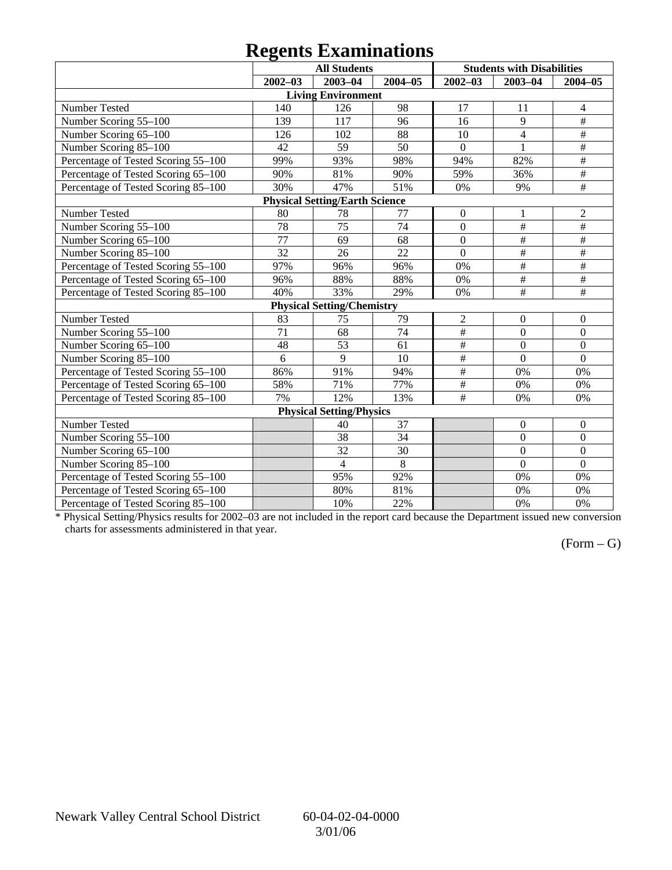## **Regents Examinations**

|                                     | o               | <b>All Students</b>                   |         |                 | <b>Students with Disabilities</b> |                  |
|-------------------------------------|-----------------|---------------------------------------|---------|-----------------|-----------------------------------|------------------|
|                                     | $2002 - 03$     | $2003 - 04$                           | 2004-05 | $2002 - 03$     | $2003 - 04$                       | $2004 - 05$      |
|                                     |                 | <b>Living Environment</b>             |         |                 |                                   |                  |
| Number Tested                       | 140             | 126                                   | 98      | 17              | 11                                | 4                |
| Number Scoring 55-100               | 139             | 117                                   | 96      | 16              | 9                                 | #                |
| Number Scoring 65-100               | 126             | 102                                   | 88      | 10              | $\overline{4}$                    | $\#$             |
| Number Scoring 85-100               | 42              | 59                                    | 50      | $\overline{0}$  | $\mathbf{1}$                      | $\#$             |
| Percentage of Tested Scoring 55-100 | 99%             | 93%                                   | 98%     | 94%             | 82%                               | $\#$             |
| Percentage of Tested Scoring 65-100 | 90%             | 81%                                   | 90%     | 59%             | 36%                               | $\overline{\#}$  |
| Percentage of Tested Scoring 85-100 | 30%             | 47%                                   | 51%     | 0%              | 9%                                | $\#$             |
|                                     |                 | <b>Physical Setting/Earth Science</b> |         |                 |                                   |                  |
| Number Tested                       | 80              | 78                                    | 77      | $\mathbf{0}$    | 1                                 | $\overline{2}$   |
| Number Scoring 55-100               | $\overline{78}$ | 75                                    | 74      | $\overline{0}$  | $\#$                              | $\#$             |
| Number Scoring 65-100               | 77              | 69                                    | 68      | $\mathbf{0}$    | $\#$                              | $\#$             |
| Number Scoring 85-100               | 32              | 26                                    | 22      | $\overline{0}$  | $\#$                              | #                |
| Percentage of Tested Scoring 55-100 | 97%             | 96%                                   | 96%     | 0%              | $\overline{\#}$                   | $\overline{\#}$  |
| Percentage of Tested Scoring 65-100 | 96%             | 88%                                   | 88%     | 0%              | $\overline{\#}$                   | $\overline{\#}$  |
| Percentage of Tested Scoring 85-100 | 40%             | 33%                                   | 29%     | 0%              | #                                 | #                |
|                                     |                 | <b>Physical Setting/Chemistry</b>     |         |                 |                                   |                  |
| Number Tested                       | 83              | 75                                    | 79      | $\overline{2}$  | $\boldsymbol{0}$                  | $\boldsymbol{0}$ |
| Number Scoring 55-100               | $\overline{71}$ | $\overline{68}$                       | 74      | #               | $\overline{0}$                    | $\overline{0}$   |
| Number Scoring 65-100               | 48              | 53                                    | 61      | $\overline{\#}$ | $\overline{0}$                    | $\boldsymbol{0}$ |
| Number Scoring 85-100               | 6               | $\overline{9}$                        | 10      | #               | $\overline{0}$                    | $\mathbf{0}$     |
| Percentage of Tested Scoring 55-100 | 86%             | 91%                                   | 94%     | $\#$            | 0%                                | 0%               |
| Percentage of Tested Scoring 65-100 | 58%             | 71%                                   | 77%     | $\#$            | 0%                                | 0%               |
| Percentage of Tested Scoring 85-100 | 7%              | 12%                                   | 13%     | $\#$            | 0%                                | 0%               |
|                                     |                 | <b>Physical Setting/Physics</b>       |         |                 |                                   |                  |
| Number Tested                       |                 | 40                                    | 37      |                 | $\boldsymbol{0}$                  | $\boldsymbol{0}$ |
| Number Scoring 55-100               |                 | 38                                    | 34      |                 | $\mathbf{0}$                      | $\boldsymbol{0}$ |
| Number Scoring 65-100               |                 | 32                                    | 30      |                 | $\mathbf{0}$                      | $\mathbf{0}$     |
| Number Scoring 85-100               |                 | $\overline{4}$                        | 8       |                 | $\overline{0}$                    | $\mathbf{0}$     |
| Percentage of Tested Scoring 55-100 |                 | 95%                                   | 92%     |                 | 0%                                | 0%               |
| Percentage of Tested Scoring 65-100 |                 | 80%                                   | 81%     |                 | 0%                                | 0%               |
| Percentage of Tested Scoring 85-100 |                 | 10%                                   | 22%     |                 | 0%                                | 0%               |

\* Physical Setting/Physics results for 2002–03 are not included in the report card because the Department issued new conversion charts for assessments administered in that year.

### $(Form - G)$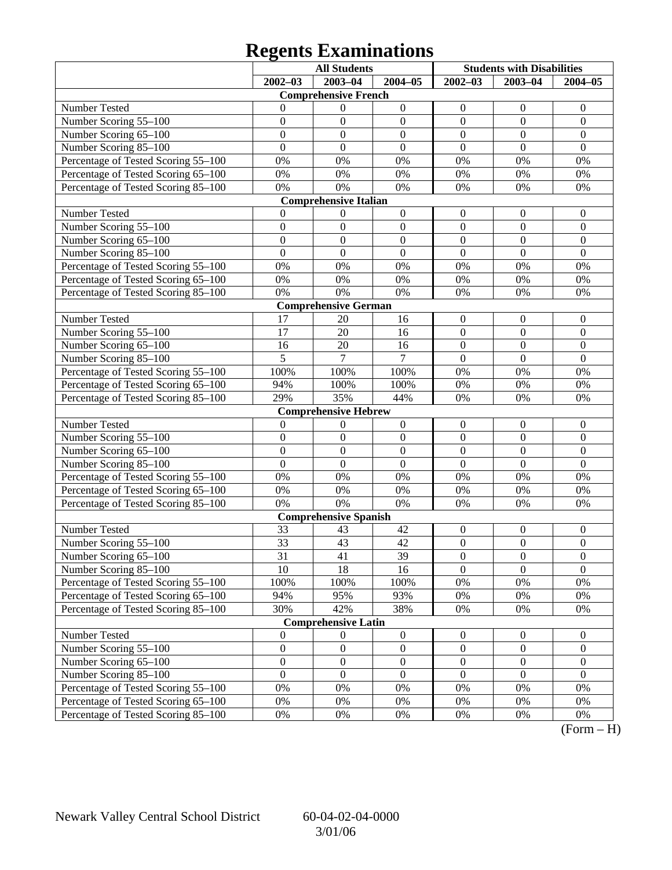# **Regents Examinations**

|                                     |                  | <b>All Students</b>          |                  | <b>Students with Disabilities</b> |                  |                  |
|-------------------------------------|------------------|------------------------------|------------------|-----------------------------------|------------------|------------------|
|                                     | $2002 - 03$      | 2003-04                      | $2004 - 05$      | $2002 - 03$                       | $2003 - 04$      | $2004 - 05$      |
|                                     |                  | <b>Comprehensive French</b>  |                  |                                   |                  |                  |
| Number Tested                       | 0                | $\theta$                     | $\boldsymbol{0}$ | $\boldsymbol{0}$                  | $\theta$         | $\theta$         |
| Number Scoring 55-100               | $\boldsymbol{0}$ | $\mathbf{0}$                 | $\boldsymbol{0}$ | $\boldsymbol{0}$                  | $\mathbf{0}$     | $\boldsymbol{0}$ |
| Number Scoring 65-100               | $\overline{0}$   | $\mathbf{0}$                 | $\mathbf{0}$     | $\mathbf{0}$                      | $\boldsymbol{0}$ | $\mathbf{0}$     |
| Number Scoring 85-100               | $\overline{0}$   | $\mathbf{0}$                 | $\mathbf{0}$     | $\overline{0}$                    | $\overline{0}$   | $\mathbf{0}$     |
| Percentage of Tested Scoring 55-100 | 0%               | 0%                           | 0%               | 0%                                | 0%               | 0%               |
| Percentage of Tested Scoring 65-100 | 0%               | 0%                           | $0\%$            | 0%                                | 0%               | 0%               |
| Percentage of Tested Scoring 85-100 | 0%               | 0%                           | 0%               | 0%                                | 0%               | 0%               |
|                                     |                  | <b>Comprehensive Italian</b> |                  |                                   |                  |                  |
| Number Tested                       | 0                | $\boldsymbol{0}$             | $\boldsymbol{0}$ | $\boldsymbol{0}$                  | $\boldsymbol{0}$ | $\theta$         |
| Number Scoring 55-100               | $\boldsymbol{0}$ | $\mathbf{0}$                 | $\boldsymbol{0}$ | $\mathbf{0}$                      | $\mathbf{0}$     | $\mathbf{0}$     |
| Number Scoring 65-100               | $\overline{0}$   | $\mathbf{0}$                 | $\mathbf{0}$     | $\mathbf{0}$                      | $\boldsymbol{0}$ | $\mathbf{0}$     |
| Number Scoring 85-100               | $\overline{0}$   | $\mathbf{0}$                 | $\overline{0}$   | $\overline{0}$                    | $\overline{0}$   | $\mathbf{0}$     |
| Percentage of Tested Scoring 55-100 | 0%               | 0%                           | 0%               | 0%                                | 0%               | 0%               |
| Percentage of Tested Scoring 65-100 | 0%               | 0%                           | $0\%$            | 0%                                | 0%               | 0%               |
| Percentage of Tested Scoring 85-100 | 0%               | 0%                           | 0%               | 0%                                | 0%               | 0%               |
|                                     |                  | <b>Comprehensive German</b>  |                  |                                   |                  |                  |
| Number Tested                       | 17               | 20                           | 16               | $\boldsymbol{0}$                  | $\boldsymbol{0}$ | $\mathbf{0}$     |
| Number Scoring 55-100               | 17               | 20                           | 16               | $\mathbf{0}$                      | $\mathbf{0}$     | $\mathbf{0}$     |
| Number Scoring 65-100               | 16               | 20                           | 16               | $\mathbf{0}$                      | $\boldsymbol{0}$ | $\mathbf{0}$     |
| Number Scoring 85-100               | 5                | 7                            | $\overline{7}$   | $\overline{0}$                    | $\overline{0}$   | $\mathbf{0}$     |
| Percentage of Tested Scoring 55-100 | 100%             | 100%                         | 100%             | $0\%$                             | 0%               | 0%               |
| Percentage of Tested Scoring 65-100 | 94%              | 100%                         | 100%             | 0%                                | 0%               | 0%               |
| Percentage of Tested Scoring 85-100 | 29%              | 35%                          | 44%              | 0%                                | 0%               | 0%               |
|                                     |                  | <b>Comprehensive Hebrew</b>  |                  |                                   |                  |                  |
| Number Tested                       | $\boldsymbol{0}$ | $\boldsymbol{0}$             | $\boldsymbol{0}$ | $\boldsymbol{0}$                  | $\boldsymbol{0}$ | $\mathbf{0}$     |
| Number Scoring 55-100               | $\boldsymbol{0}$ | $\boldsymbol{0}$             | $\boldsymbol{0}$ | $\mathbf{0}$                      | $\overline{0}$   | $\mathbf{0}$     |
| Number Scoring 65-100               | $\overline{0}$   | $\mathbf{0}$                 | $\mathbf{0}$     | $\boldsymbol{0}$                  | $\boldsymbol{0}$ | $\mathbf{0}$     |
| Number Scoring 85-100               | $\overline{0}$   | $\mathbf{0}$                 | $\overline{0}$   | $\overline{0}$                    | $\overline{0}$   | $\mathbf{0}$     |
| Percentage of Tested Scoring 55-100 | 0%               | 0%                           | 0%               | 0%                                | 0%               | 0%               |
| Percentage of Tested Scoring 65-100 | 0%               | 0%                           | $0\%$            | 0%                                | 0%               | 0%               |
| Percentage of Tested Scoring 85-100 | 0%               | 0%                           | 0%               | 0%                                | 0%               | 0%               |
|                                     |                  | <b>Comprehensive Spanish</b> |                  |                                   |                  |                  |
| Number Tested                       | 33               | 43                           | 42               | $\boldsymbol{0}$                  | $\boldsymbol{0}$ | $\boldsymbol{0}$ |
| Number Scoring 55-100               | 33               | 43                           | 42               | $\boldsymbol{0}$                  | $\boldsymbol{0}$ | $\mathbf{0}$     |
| Number Scoring 65–100               | 31               | 41                           | 39               | $\theta$                          | $\boldsymbol{0}$ | $\boldsymbol{0}$ |
| Number Scoring 85-100               | 10               | 18                           | 16               | $\Omega$                          | $\theta$         | $\overline{0}$   |
| Percentage of Tested Scoring 55-100 | 100%             | 100%                         | 100%             | $0\%$                             | 0%               | 0%               |
| Percentage of Tested Scoring 65-100 | 94%              | 95%                          | 93%              | 0%                                | 0%               | 0%               |
| Percentage of Tested Scoring 85-100 | 30%              | 42%                          | 38%              | 0%                                | 0%               | 0%               |
|                                     |                  | <b>Comprehensive Latin</b>   |                  |                                   |                  |                  |
| Number Tested                       | $\boldsymbol{0}$ | $\boldsymbol{0}$             | $\boldsymbol{0}$ | $\boldsymbol{0}$                  | $\boldsymbol{0}$ | $\boldsymbol{0}$ |
| Number Scoring 55-100               | $\boldsymbol{0}$ | $\boldsymbol{0}$             | $\boldsymbol{0}$ | $\boldsymbol{0}$                  | $\boldsymbol{0}$ | $\boldsymbol{0}$ |
| Number Scoring 65-100               | $\boldsymbol{0}$ | $\boldsymbol{0}$             | $\boldsymbol{0}$ | $\boldsymbol{0}$                  | $\boldsymbol{0}$ | $\boldsymbol{0}$ |
| Number Scoring 85-100               | $\boldsymbol{0}$ | $\mathbf{0}$                 | $\mathbf{0}$     | $\mathbf{0}$                      | $\mathbf{0}$     | $\boldsymbol{0}$ |
| Percentage of Tested Scoring 55-100 | 0%               | 0%                           | $0\%$            | 0%                                | 0%               | 0%               |
| Percentage of Tested Scoring 65-100 | 0%               | 0%                           | 0%               | 0%                                | 0%               | 0%               |
| Percentage of Tested Scoring 85-100 | 0%               | 0%                           | 0%               | 0%                                | 0%               | 0%               |

 $(Form - H)$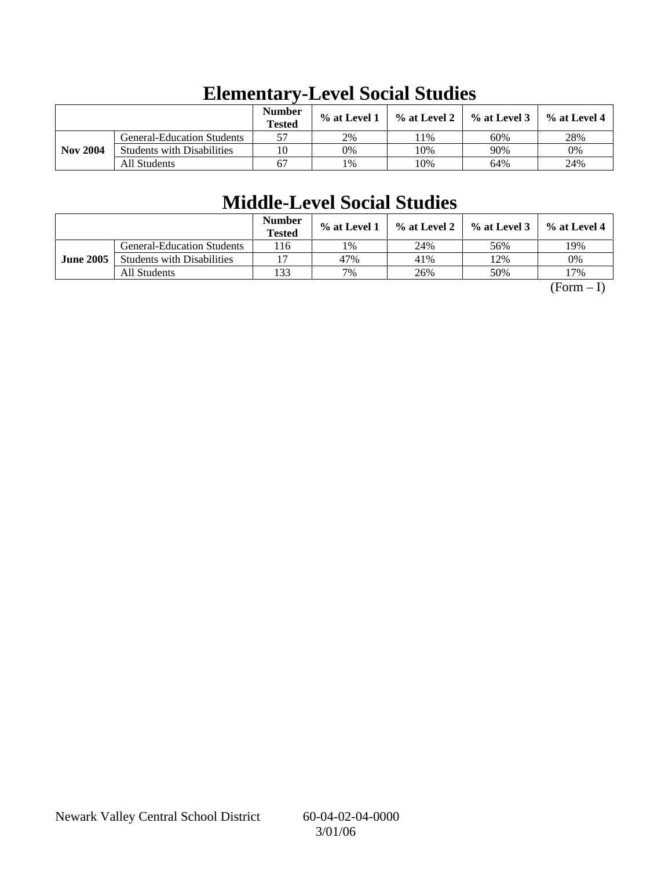|                 |                                   | <b>Number</b><br><b>Tested</b> | % at Level 1 | % at Level 2 | $%$ at Level 3 | % at Level 4 |
|-----------------|-----------------------------------|--------------------------------|--------------|--------------|----------------|--------------|
|                 | <b>General-Education Students</b> | 57                             | 2%           | 1%           | 60%            | 28%          |
| <b>Nov 2004</b> | <b>Students with Disabilities</b> | 10                             | 0%           | 10%          | 90%            | 0%           |
|                 | All Students                      | 67                             | 1%           | 10%          | 64%            | 24%          |

# **Elementary-Level Social Studies**

# **Middle-Level Social Studies**

|                  |                                   | Number<br><b>Tested</b> | % at Level 1 | % at Level 2 | $%$ at Level 3 | $\%$ at Level 4 |
|------------------|-----------------------------------|-------------------------|--------------|--------------|----------------|-----------------|
|                  | <b>General-Education Students</b> | 116                     | 1%           | 24%          | 56%            | 19%             |
| <b>June 2005</b> | <b>Students with Disabilities</b> |                         | 47%          | 41%          | 12%            | 0%              |
|                  | All Students                      | 133                     | 7%           | 26%          | 50%            | 17%             |

 $(Form - I)$